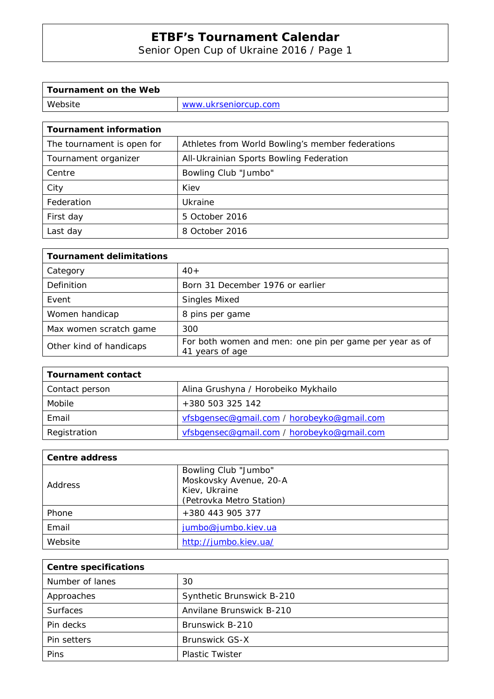Senior Open Cup of Ukraine 2016 / Page 1

| Tournament on the Web |                      |
|-----------------------|----------------------|
| Website               | www.ukrseniorcup.com |

| <b>Tournament information</b> |                                                  |
|-------------------------------|--------------------------------------------------|
| The tournament is open for    | Athletes from World Bowling's member federations |
| Tournament organizer          | All-Ukrainian Sports Bowling Federation          |
| Centre                        | Bowling Club "Jumbo"                             |
| City                          | Kiev                                             |
| Federation                    | Ukraine                                          |
| First day                     | 5 October 2016                                   |
| Last day                      | 8 October 2016                                   |

| <b>Tournament delimitations</b> |                                                                            |
|---------------------------------|----------------------------------------------------------------------------|
| Category                        | $40+$                                                                      |
| Definition                      | Born 31 December 1976 or earlier                                           |
| Event                           | <b>Singles Mixed</b>                                                       |
| Women handicap                  | 8 pins per game                                                            |
| Max women scratch game          | 300                                                                        |
| Other kind of handicaps         | For both women and men: one pin per game per year as of<br>41 years of age |

| <b>Tournament contact</b> |                                            |
|---------------------------|--------------------------------------------|
| Contact person            | Alina Grushyna / Horobeiko Mykhailo        |
| Mobile                    | +380 503 325 142                           |
| Email                     | vfsbgensec@gmail.com / horobeyko@gmail.com |
| Registration              | vfsbgensec@gmail.com / horobeyko@gmail.com |

| <b>Centre address</b> |                          |  |  |
|-----------------------|--------------------------|--|--|
|                       | Bowling Club "Jumbo"     |  |  |
| Address               | Moskovsky Avenue, 20-A   |  |  |
|                       | Kiev, Ukraine            |  |  |
|                       | (Petrovka Metro Station) |  |  |
| Phone                 | +380 443 905 377         |  |  |
| Email                 | jumbo@jumbo.kiev.ua      |  |  |
| Website               | http://jumbo.kiev.ua/    |  |  |

| <b>Centre specifications</b> |                           |  |  |
|------------------------------|---------------------------|--|--|
| Number of lanes              | 30                        |  |  |
| Approaches                   | Synthetic Brunswick B-210 |  |  |
| <b>Surfaces</b>              | Anvilane Brunswick B-210  |  |  |
| Pin decks                    | Brunswick B-210           |  |  |
| Pin setters                  | <b>Brunswick GS-X</b>     |  |  |
| Pins                         | <b>Plastic Twister</b>    |  |  |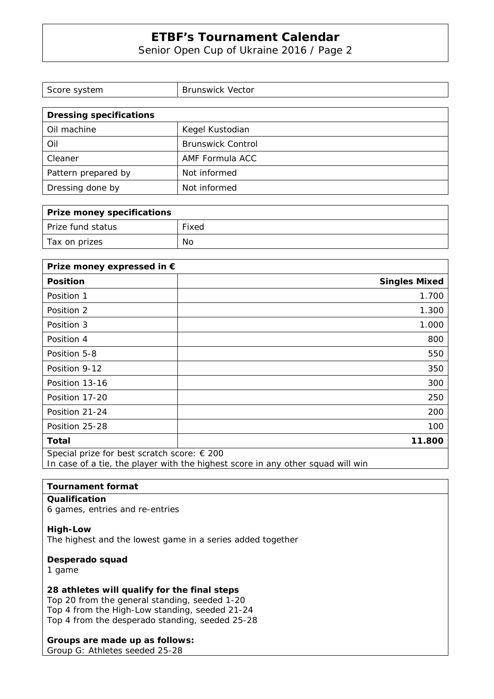Senior Open Cup of Ukraine 2016 / Page 2

| Score system                   | <b>Brunswick Vector</b>  |  |
|--------------------------------|--------------------------|--|
|                                |                          |  |
| <b>Dressing specifications</b> |                          |  |
| Oil machine                    | Kegel Kustodian          |  |
| Oil                            | <b>Brunswick Control</b> |  |
| Cleaner                        | AMF Formula ACC          |  |
| Pattern prepared by            | Not informed             |  |
| Dressing done by               | Not informed             |  |

| Prize money specifications |       |
|----------------------------|-------|
| Prize fund status          | Fixed |
| Tax on prizes              | No    |

| Prize money expressed in €                  |                      |
|---------------------------------------------|----------------------|
| <b>Position</b>                             | <b>Singles Mixed</b> |
| Position 1                                  | 1.700                |
| Position 2                                  | 1.300                |
| Position 3                                  | 1.000                |
| Position 4                                  | 800                  |
| Position 5-8                                | 550                  |
| Position 9-12                               | 350                  |
| Position 13-16                              | 300                  |
| Position 17-20                              | 250                  |
| Position 21-24                              | 200                  |
| Position 25-28                              | 100                  |
| Total                                       | 11.800               |
| Special prize for best scratch score: € 200 |                      |

In case of a tie, the player with the highest score in any other squad will win

#### **Tournament format**

#### **Qualification**

6 games, entries and re-entries

#### **High-Low**

The highest and the lowest game in a series added together

#### **Desperado squad**

1 game

### **28 athletes will qualify for the final steps**

Top 20 from the general standing, seeded 1-20 Top 4 from the High-Low standing, seeded 21-24 Top 4 from the desperado standing, seeded 25-28

### **Groups are made up as follows:**

Group G: Athletes seeded 25-28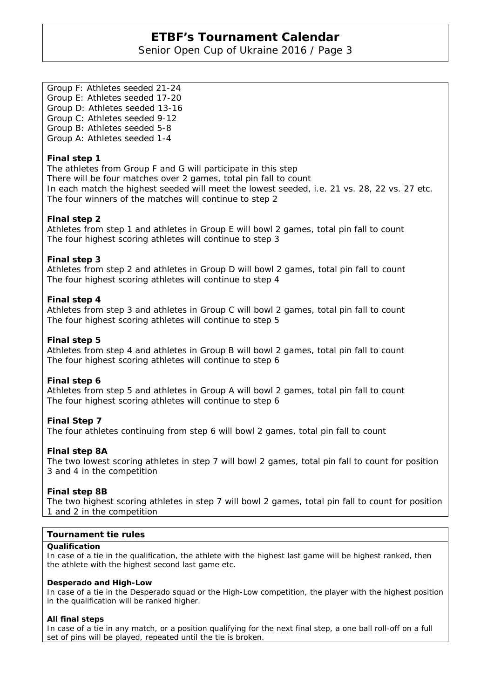Senior Open Cup of Ukraine 2016 / Page 3

Group F: Athletes seeded 21-24 Group E: Athletes seeded 17-20 Group D: Athletes seeded 13-16 Group C: Athletes seeded 9-12 Group B: Athletes seeded 5-8 Group A: Athletes seeded 1-4

#### **Final step 1**

The athletes from Group F and G will participate in this step There will be four matches over 2 games, total pin fall to count In each match the highest seeded will meet the lowest seeded, i.e. 21 vs. 28, 22 vs. 27 etc. The four winners of the matches will continue to step 2

#### **Final step 2**

Athletes from step 1 and athletes in Group E will bowl 2 games, total pin fall to count The four highest scoring athletes will continue to step 3

### **Final step 3**

Athletes from step 2 and athletes in Group D will bowl 2 games, total pin fall to count The four highest scoring athletes will continue to step 4

#### **Final step 4**

Athletes from step 3 and athletes in Group C will bowl 2 games, total pin fall to count The four highest scoring athletes will continue to step 5

#### **Final step 5**

Athletes from step 4 and athletes in Group B will bowl 2 games, total pin fall to count The four highest scoring athletes will continue to step 6

#### **Final step 6**

Athletes from step 5 and athletes in Group A will bowl 2 games, total pin fall to count The four highest scoring athletes will continue to step 6

### **Final Step 7**

The four athletes continuing from step 6 will bowl 2 games, total pin fall to count

#### **Final step 8A**

The two lowest scoring athletes in step 7 will bowl 2 games, total pin fall to count for position 3 and 4 in the competition

#### **Final step 8B**

The two highest scoring athletes in step 7 will bowl 2 games, total pin fall to count for position 1 and 2 in the competition

#### **Tournament tie rules**

#### **Qualification**

In case of a tie in the qualification, the athlete with the highest last game will be highest ranked, then the athlete with the highest second last game etc.

#### **Desperado and High-Low**

In case of a tie in the Desperado squad or the High-Low competition, the player with the highest position in the qualification will be ranked higher.

#### **All final steps**

In case of a tie in any match, or a position qualifying for the next final step, a one ball roll-off on a full set of pins will be played, repeated until the tie is broken.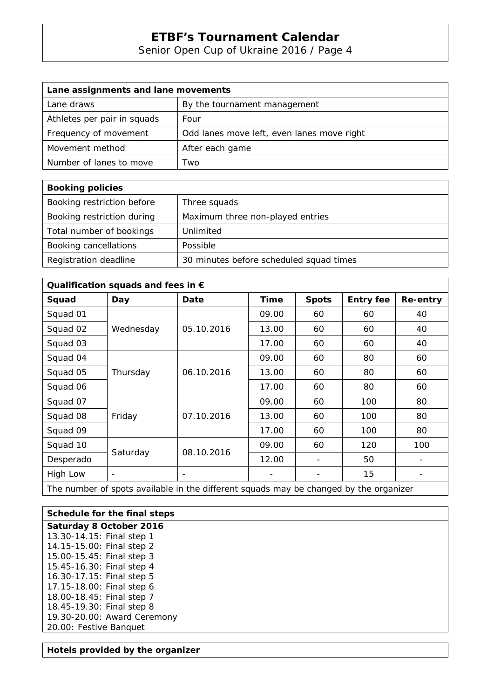Senior Open Cup of Ukraine 2016 / Page 4

| Lane assignments and lane movements |                                            |  |  |
|-------------------------------------|--------------------------------------------|--|--|
| Lane draws                          | By the tournament management               |  |  |
| Athletes per pair in squads         | Four                                       |  |  |
| Frequency of movement               | Odd lanes move left, even lanes move right |  |  |
| Movement method                     | After each game                            |  |  |
| Number of lanes to move             | Two                                        |  |  |

| <b>Booking policies</b>    |                                         |
|----------------------------|-----------------------------------------|
| Booking restriction before | Three squads                            |
| Booking restriction during | Maximum three non-played entries        |
| Total number of bookings   | Unlimited                               |
| Booking cancellations      | Possible                                |
| Registration deadline      | 30 minutes before scheduled squad times |

| Qualification squads and fees in $\epsilon$ |                          |            |       |                          |                  |          |
|---------------------------------------------|--------------------------|------------|-------|--------------------------|------------------|----------|
| Squad                                       | Day                      | Date       | Time  | <b>Spots</b>             | <b>Entry fee</b> | Re-entry |
| Squad 01                                    |                          |            | 09.00 | 60                       | 60               | 40       |
| Squad 02                                    | Wednesday                | 05.10.2016 | 13.00 | 60                       | 60               | 40       |
| Squad 03                                    |                          |            | 17.00 | 60                       | 60               | 40       |
| Squad 04                                    |                          |            | 09.00 | 60                       | 80               | 60       |
| Squad 05                                    | Thursday                 | 06.10.2016 | 13.00 | 60                       | 80               | 60       |
| Squad 06                                    |                          |            | 17.00 | 60                       | 80               | 60       |
| Squad 07                                    |                          |            | 09.00 | 60                       | 100              | 80       |
| Squad 08                                    | Friday                   | 07.10.2016 | 13.00 | 60                       | 100              | 80       |
| Squad 09                                    |                          |            | 17.00 | 60                       | 100              | 80       |
| Squad 10                                    | Saturday                 | 08.10.2016 | 09.00 | 60                       | 120              | 100      |
| Desperado                                   |                          |            | 12.00 | $\overline{\phantom{a}}$ | 50               | -        |
| High Low                                    | $\overline{\phantom{a}}$ |            |       |                          | 15               |          |
|                                             |                          |            |       |                          |                  |          |

The number of spots available in the different squads may be changed by the organizer

| Schedule for the final steps |
|------------------------------|
| Saturday 8 October 2016      |
| 13.30-14.15: Final step 1    |
| 14.15-15.00: Final step 2    |
| 15.00-15.45: Final step 3    |
| 15.45-16.30: Final step 4    |
| 16.30-17.15: Final step 5    |
| 17.15-18.00: Final step 6    |
| 18.00-18.45: Final step 7    |
| 18.45-19.30: Final step 8    |
| 19.30-20.00: Award Ceremony  |
| 20.00: Festive Banquet       |

#### **Hotels provided by the organizer**